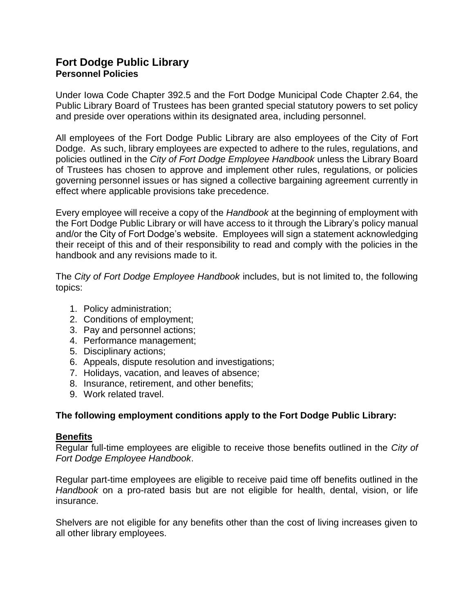# **Fort Dodge Public Library Personnel Policies**

Under Iowa Code Chapter 392.5 and the Fort Dodge Municipal Code Chapter 2.64, the Public Library Board of Trustees has been granted special statutory powers to set policy and preside over operations within its designated area, including personnel.

All employees of the Fort Dodge Public Library are also employees of the City of Fort Dodge. As such, library employees are expected to adhere to the rules, regulations, and policies outlined in the *City of Fort Dodge Employee Handbook* unless the Library Board of Trustees has chosen to approve and implement other rules, regulations, or policies governing personnel issues or has signed a collective bargaining agreement currently in effect where applicable provisions take precedence.

Every employee will receive a copy of the *Handbook* at the beginning of employment with the Fort Dodge Public Library or will have access to it through the Library's policy manual and/or the City of Fort Dodge's website. Employees will sign a statement acknowledging their receipt of this and of their responsibility to read and comply with the policies in the handbook and any revisions made to it.

The *City of Fort Dodge Employee Handbook* includes, but is not limited to, the following topics:

- 1. Policy administration;
- 2. Conditions of employment;
- 3. Pay and personnel actions;
- 4. Performance management;
- 5. Disciplinary actions;
- 6. Appeals, dispute resolution and investigations;
- 7. Holidays, vacation, and leaves of absence;
- 8. Insurance, retirement, and other benefits;
- 9. Work related travel.

# **The following employment conditions apply to the Fort Dodge Public Library:**

# **Benefits**

Regular full-time employees are eligible to receive those benefits outlined in the *City of Fort Dodge Employee Handbook*.

Regular part-time employees are eligible to receive paid time off benefits outlined in the *Handbook* on a pro-rated basis but are not eligible for health, dental, vision, or life insurance.

Shelvers are not eligible for any benefits other than the cost of living increases given to all other library employees.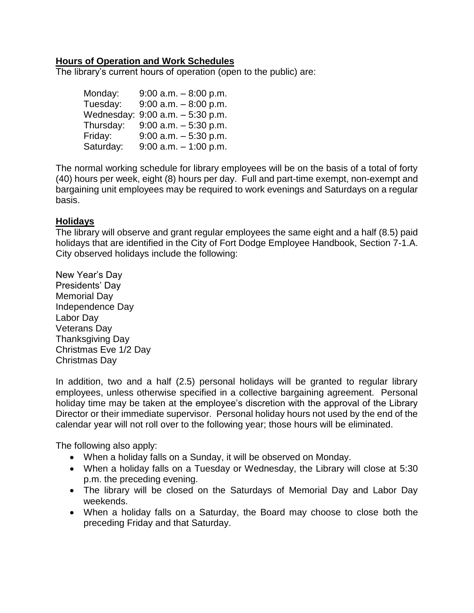# **Hours of Operation and Work Schedules**

The library's current hours of operation (open to the public) are:

| Monday:   | $9:00$ a.m. $-8:00$ p.m.         |
|-----------|----------------------------------|
| Tuesday:  | $9:00$ a.m. $-8:00$ p.m.         |
|           | Wednesday: 9:00 a.m. - 5:30 p.m. |
| Thursday: | $9:00$ a.m. $-5:30$ p.m.         |
| Friday:   | $9:00$ a.m. $-5:30$ p.m.         |
| Saturday: | $9:00$ a.m. $-1:00$ p.m.         |

The normal working schedule for library employees will be on the basis of a total of forty (40) hours per week, eight (8) hours per day. Full and part-time exempt, non-exempt and bargaining unit employees may be required to work evenings and Saturdays on a regular basis.

# **Holidays**

The library will observe and grant regular employees the same eight and a half (8.5) paid holidays that are identified in the City of Fort Dodge Employee Handbook, Section 7-1.A. City observed holidays include the following:

New Year's Day Presidents' Day Memorial Day Independence Day Labor Day Veterans Day Thanksgiving Day Christmas Eve 1/2 Day Christmas Day

In addition, two and a half (2.5) personal holidays will be granted to regular library employees, unless otherwise specified in a collective bargaining agreement. Personal holiday time may be taken at the employee's discretion with the approval of the Library Director or their immediate supervisor. Personal holiday hours not used by the end of the calendar year will not roll over to the following year; those hours will be eliminated.

The following also apply:

- When a holiday falls on a Sunday, it will be observed on Monday.
- When a holiday falls on a Tuesday or Wednesday, the Library will close at 5:30 p.m. the preceding evening.
- The library will be closed on the Saturdays of Memorial Day and Labor Day weekends.
- When a holiday falls on a Saturday, the Board may choose to close both the preceding Friday and that Saturday.